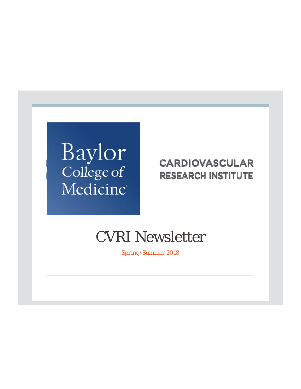

**CARDIOVASCULAR RESEARCH INSTITUTE** 

# CVRI Newsletter

*Spring/Summer 2018*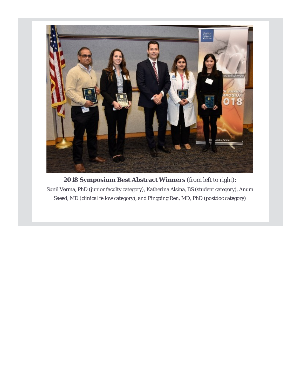

**2018 Symposium Best Abstract Winners** (from left to right): Sunil Verma, PhD (junior faculty category), Katherina Alsina, BS (student category), Anum Saeed, MD (clinical fellow category), and Pingping Ren, MD, PhD (postdoc category)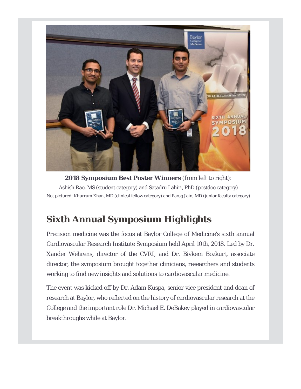

**2018 Symposium Best Poster Winners** (from left to right): Ashish Rao, MS (student category) and Satadru Lahiri, PhD (postdoc category) Not pictured: Khurrum Khan, MD (clinical fellow category) and Parag Jain, MD (junior faculty category)

## **Sixth Annual Symposium Highlights**

Precision medicine was the focus at Baylor College of Medicine's sixth annual Cardiovascular Research Institute Symposium held April 10th, 2018. Led by Dr. Xander Wehrens, director of the CVRI, and Dr. Biykem Bozkurt, associate director, the symposium brought together clinicians, researchers and students working to find new insights and solutions to cardiovascular medicine.

The event was kicked off by Dr. Adam Kuspa, senior vice president and dean of research at Baylor, who reflected on the history of cardiovascular research at the College and the important role Dr. Michael E. DeBakey played in cardiovascular breakthroughs while at Baylor.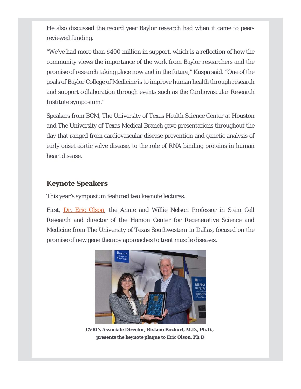He also discussed the record year Baylor research had when it came to peerreviewed funding.

"We've had more than \$400 million in support, which is a reflection of how the community views the importance of the work from Baylor researchers and the promise of research taking place now and in the future," Kuspa said. "One of the goals of Baylor College of Medicine is to improve human health through research and support collaboration through events such as the Cardiovascular Research Institute symposium."

Speakers from BCM, The University of Texas Health Science Center at Houston and The University of Texas Medical Branch gave presentations throughout the day that ranged from cardiovascular disease prevention and genetic analysis of early onset aortic valve disease, to the role of RNA binding proteins in human heart disease.

### **Keynote Speakers**

This year's symposium featured two keynote lectures.

First, Dr. Eric Olson, the Annie and Willie Nelson Professor in Stem Cell Research and director of the Hamon Center for Regenerative Science and Medicine from The University of Texas Southwestern in Dallas, focused on the promise of new gene therapy approaches to treat muscle diseases.



**CVRI's Associate Director, Biykem Bozkurt, M.D., Ph.D., presents the keynote plaque to Eric Olson, Ph.D**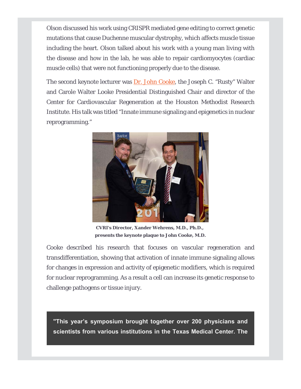Olson discussed his work using CRISPR mediated gene editing to correct genetic mutations that cause Duchenne muscular dystrophy, which affects muscle tissue including the heart. Olson talked about his work with a young man living with the disease and how in the lab, he was able to repair cardiomyocytes (cardiac muscle cells) that were not functioning properly due to the disease.

The second keynote lecturer was **Dr. John Cooke**, the Joseph C. "Rusty" Walter and Carole Walter Looke Presidential Distinguished Chair and director of the Center for Cardiovascular Regeneration at the Houston Methodist Research Institute. His talk was titled "Innate immune signaling and epigenetics in nuclear reprogramming."



**CVRI's Director, Xander Wehrens, M.D., Ph.D., presents the keynote plaque to John Cooke, M.D.**

Cooke described his research that focuses on vascular regeneration and transdifferentiation, showing that activation of innate immune signaling allows for changes in expression and activity of epigenetic modifiers, which is required for nuclear reprogramming. As a result a cell can increase its genetic response to challenge pathogens or tissue injury.

**"This year's symposium brought together over 200 physicians and scientists from various institutions in the Texas Medical Center. The**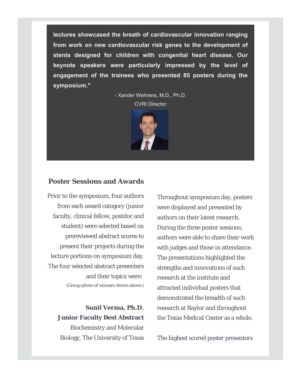**lectures showcased the breath of cardiovascular innovation ranging from work on new cardiovascular risk genes to the development of stents designed for children with congenital heart disease. Our keynote speakers were particularly impressed by the level of engagement of the trainees who presented 85 posters during the symposium."**

- Xander Wehrens, M.D., Ph.D.

CVRI Director



#### **Poster Sessions and Awards**

Prior to the symposium, four authors from each award category (junior faculty, clinical fellow, postdoc and student) were selected based on prereviewed abstract scores to present their projects during the lecture portions on symposium day. The four selected abstract presenters and their topics were: (Group photo of winners shown above.)

> **Sunil Verma, Ph.D. Junior Faculty Best Abstract** Biochemistry and Molecular Biology, The University of Texas

Throughout symposium day, posters were displayed and presented by authors on their latest research. During the three poster sessions, authors were able to share their work with judges and those in attendance. The presentations highlighted the strengths and innovations of such research at the institute and attracted individual posters that demonstrated the breadth of such research at Baylor and throughout the Texas Medical Center as a whole.

The highest scored poster presenters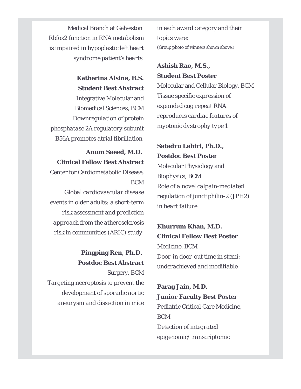Medical Branch at Galveston *Rbfox2 function in RNA metabolism is impaired in hypoplastic left heart syndrome patient's hearts* 

**Katherina Alsina, B.S. Student Best Abstract** Integrative Molecular and Biomedical Sciences, BCM *Downregulation of protein phosphatase 2A regulatory subunit B56A promotes atrial fibrillation* 

**Anum Saeed, M.D. Clinical Fellow Best Abstract** Center for Cardiometabolic Disease, BCM

*Global cardiovascular disease events in older adults: a short-term risk assessment and prediction approach from the atherosclerosis risk in communities (ARIC) study* 

**Pingping Ren, Ph.D. Postdoc Best Abstract** Surgery, BCM *Targeting necroptosis to prevent the development of sporadic aortic aneurysm and dissection in mice* in each award category and their topics were: (Group photo of winners shown above.)

**Ashish Rao, M.S., Student Best Poster** Molecular and Cellular Biology, BCM

*Tissue specific expression of expanded cug repeat RNA reproduces cardiac features of myotonic dystrophy type 1*

**Satadru Lahiri, Ph.D., Postdoc Best Poster**  Molecular Physiology and Biophysics, BCM *Role of a novel calpain-mediated regulation of junctiphilin-2 (JPH2) in heart failure*

**Khurrum Khan, M.D. Clinical Fellow Best Poster** Medicine, BCM

*Door-in door-out time in stemi: underachieved and modifiable*

**Parag Jain, M.D. Junior Faculty Best Poster** Pediatric Critical Care Medicine, BCM *Detection of integrated epigenomic/transcriptomic*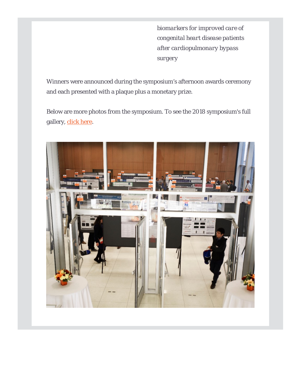*biomarkers for improved care of congenital heart disease patients after cardiopulmonary bypass surgery*

Winners were announced during the symposium's afternoon awards ceremony and each presented with a plaque plus a monetary prize.

Below are more photos from the symposium. To see the 2018 symposium's full gallery, click here.

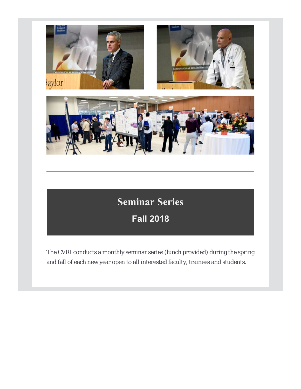

# **Seminar Series Fall 2018**

The CVRI conducts a monthly seminar series (lunch provided) during the spring and fall of each new year open to all interested faculty, trainees and students.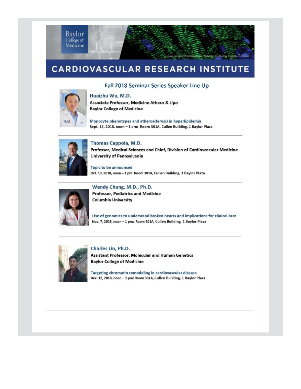

## **CARDIOVASCULAR RESEARCH INSTITUTE**

#### Fall 2018 Seminar Series Speaker Line Up



Huaizhu Wu, M.D. Associate Professor, Medicine Athero & Lipo **Baylor College of Medicine** 

Monocyte phenotypes and atherosclerosis in hyperlipidemia Sept. 12, 2018, noon - 1 pm: Room 301A, Cullen Building, 1 Baylor Plaza



Thomas Cappola, M.D. Professor, Medical Sciences and Chief, Division of Cardiovascular Medicine University of Pennsylvania

**Topic to be announced** Oct. 10, 2018, noon - 1 pm: Room 301A, Cullen Building, 1 Baylor Plaza



Wendy Chung, M.D., Ph.D. **Professor, Pediatrics and Medicine Columbia University** 

Use of genomics to understand broken hearts and implications for clinical care Nov. 7, 2018, noon - 1 pm: Room 301A, Cullen Building, 1 Baylor Plaza



Charles Lin, Ph.D.

Assistant Professor, Molecular and Human Genetics **Baylor College of Medicine** 

Targeting chromatin remodeling in cardiovascular disease Dec. 12, 2018, noon - 1 pm: Room 301A, Cullen Building, 1 Baylor Plaza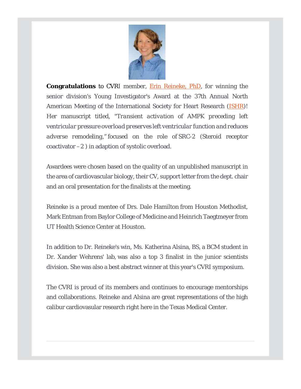

**Congratulations** to CVRI member, Erin Reineke, PhD, for winning the senior division's Young Investigator's Award at the 37th Annual North American Meeting of the International Society for Heart Research (ISHR)! Her manuscript titled, *"Transient activation of AMPK preceding left ventricular pressure overload preserves left ventricular function and reduces adverse remodeling,"* focused on the role of SRC-2 (Steroid receptor coactivator  $-2$  ) in adaption of systolic overload.

Awardees were chosen based on the quality of an unpublished manuscript in the area of cardiovascular biology, their CV, support letter from the dept. chair and an oral presentation for the finalists at the meeting.

Reineke is a proud mentee of Drs. Dale Hamilton from Houston Methodist, Mark Entman from Baylor College of Medicine and Heinrich Taegtmeyer from UT Health Science Center at Houston.

In addition to Dr. Reineke's win, Ms. Katherina Alsina, BS, a BCM student in Dr. Xander Wehrens' lab, was also a top 3 finalist in the junior scientists division. She was also a best abstract winner at this year's CVRI symposium.

The CVRI is proud of its members and continues to encourage mentorships and collaborations. Reineke and Alsina are great representations of the high calibur cardiovasular research right here in the Texas Medical Center.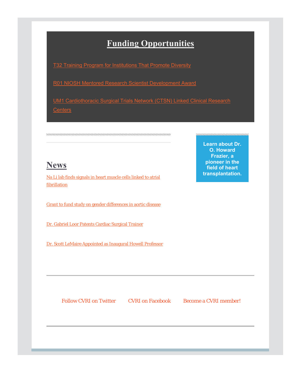## **Funding Opportunities**

T32 Training Program for Institutions That Promote Diversity

R01 NIOSH Mentored Research Scientist Development Award

UM1 Cardiothoracic Surgical Trials Network (CTSN) Linked Clinical Research **Centers** 

## **News**

Na Li lab finds signals in heart muscle cells linked to atrial fibrillation

Grant to fund study on gender differences in aortic disease

Dr. Gabriel Loor Patents Cardiac Surgical Trainer

Dr. Scott LeMaire Appointed as Inaugural Howell Professor

**Learn about Dr. O. Howard Frazier, a pioneer in the field of heart transplantation.**

,,,,,,,,,,,,,,,,,,,,,,,,,,,,,,,,,,,

Follow CVRI on Twitter CVRI on Facebook Become a CVRI member!